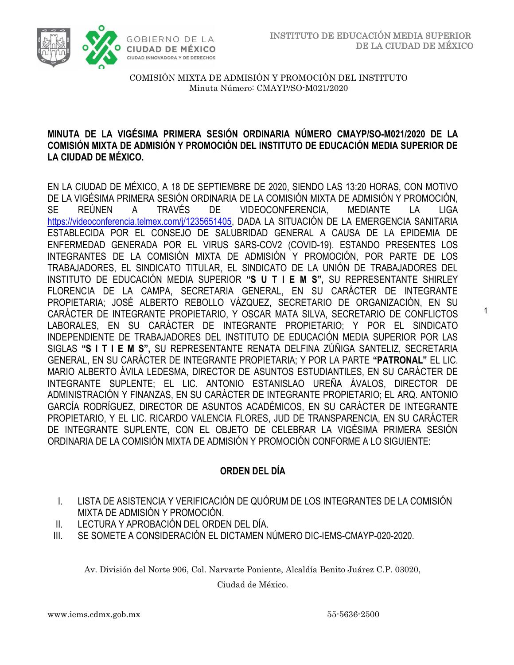1



COMISIÓN MIXTA DE ADMISIÓN Y PROMOCIÓN DEL INSTITUTO Minuta Número: CMAYP/SO-M021/2020

#### **MINUTA DE LA VIGÉSIMA PRIMERA SESIÓN ORDINARIA NÚMERO CMAYP/SO-M021/2020 DE LA COMISIÓN MIXTA DE ADMISIÓN Y PROMOCIÓN DEL INSTITUTO DE EDUCACIÓN MEDIA SUPERIOR DE LA CIUDAD DE MÉXICO.**

EN LA CIUDAD DE MÉXICO, A 18 DE SEPTIEMBRE DE 2020, SIENDO LAS 13:20 HORAS, CON MOTIVO DE LA VIGÉSIMA PRIMERA SESIÓN ORDINARIA DE LA COMISIÓN MIXTA DE ADMISIÓN Y PROMOCIÓN, SE REÚNEN A TRAVÉS DE VIDEOCONFERENCIA, MEDIANTE LA LIGA [https://videoconferencia.telmex.com/j/1235651405,](https://videoconferencia.telmex.com/j/1235651405) DADA LA SITUACIÓN DE LA EMERGENCIA SANITARIA ESTABLECIDA POR EL CONSEJO DE SALUBRIDAD GENERAL A CAUSA DE LA EPIDEMIA DE ENFERMEDAD GENERADA POR EL VIRUS SARS-COV2 (COVID-19). ESTANDO PRESENTES LOS INTEGRANTES DE LA COMISIÓN MIXTA DE ADMISIÓN Y PROMOCIÓN, POR PARTE DE LOS TRABAJADORES, EL SINDICATO TITULAR, EL SINDICATO DE LA UNIÓN DE TRABAJADORES DEL INSTITUTO DE EDUCACIÓN MEDIA SUPERIOR **"S U T I E M S",** SU REPRESENTANTE SHIRLEY FLORENCIA DE LA CAMPA, SECRETARIA GENERAL, EN SU CARÁCTER DE INTEGRANTE PROPIETARIA; JOSÉ ALBERTO REBOLLO VÁZQUEZ, SECRETARIO DE ORGANIZACIÓN, EN SU CARÁCTER DE INTEGRANTE PROPIETARIO, Y OSCAR MATA SILVA, SECRETARIO DE CONFLICTOS LABORALES, EN SU CARÁCTER DE INTEGRANTE PROPIETARIO; Y POR EL SINDICATO INDEPENDIENTE DE TRABAJADORES DEL INSTITUTO DE EDUCACIÓN MEDIA SUPERIOR POR LAS SIGLAS **"S I T I E M S",** SU REPRESENTANTE RENATA DELFINA ZÚÑIGA SANTELIZ, SECRETARIA GENERAL, EN SU CARÁCTER DE INTEGRANTE PROPIETARIA; Y POR LA PARTE **"PATRONAL"** EL LIC. MARIO ALBERTO ÁVILA LEDESMA, DIRECTOR DE ASUNTOS ESTUDIANTILES, EN SU CARÁCTER DE INTEGRANTE SUPLENTE; EL LIC. ANTONIO ESTANISLAO UREÑA ÁVALOS, DIRECTOR DE ADMINISTRACIÓN Y FINANZAS, EN SU CARÁCTER DE INTEGRANTE PROPIETARIO; EL ARQ. ANTONIO GARCÍA RODRÍGUEZ, DIRECTOR DE ASUNTOS ACADÉMICOS, EN SU CARÁCTER DE INTEGRANTE PROPIETARIO, Y EL LIC. RICARDO VALENCIA FLORES, JUD DE TRANSPARENCIA, EN SU CARÁCTER DE INTEGRANTE SUPLENTE, CON EL OBJETO DE CELEBRAR LA VIGÉSIMA PRIMERA SESIÓN ORDINARIA DE LA COMISIÓN MIXTA DE ADMISIÓN Y PROMOCIÓN CONFORME A LO SIGUIENTE:

### **ORDEN DEL DÍA**

- I. LISTA DE ASISTENCIA Y VERIFICACIÓN DE QUÓRUM DE LOS INTEGRANTES DE LA COMISIÓN MIXTA DE ADMISIÓN Y PROMOCIÓN.
- II. LECTURA Y APROBACIÓN DEL ORDEN DEL DÍA.
- III. SE SOMETE A CONSIDERACIÓN EL DICTAMEN NÚMERO DIC-IEMS-CMAYP-020-2020.

Av. División del Norte 906, Col. Narvarte Poniente, Alcaldía Benito Juárez C.P. 03020,

Ciudad de México.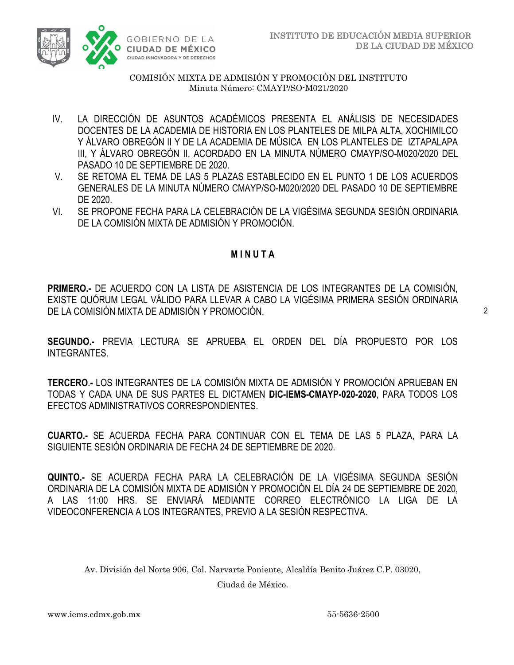

- IV. LA DIRECCIÓN DE ASUNTOS ACADÉMICOS PRESENTA EL ANÁLISIS DE NECESIDADES DOCENTES DE LA ACADEMIA DE HISTORIA EN LOS PLANTELES DE MILPA ALTA, XOCHIMILCO Y ÁLVARO OBREGÓN II Y DE LA ACADEMIA DE MÚSICA EN LOS PLANTELES DE IZTAPALAPA III, Y ÁLVARO OBREGÓN II, ACORDADO EN LA MINUTA NÚMERO CMAYP/SO-M020/2020 DEL PASADO 10 DE SEPTIEMBRE DE 2020.
- V. SE RETOMA EL TEMA DE LAS 5 PLAZAS ESTABLECIDO EN EL PUNTO 1 DE LOS ACUERDOS GENERALES DE LA MINUTA NÚMERO CMAYP/SO-M020/2020 DEL PASADO 10 DE SEPTIEMBRE DE 2020.
- VI. SE PROPONE FECHA PARA LA CELEBRACIÓN DE LA VIGÉSIMA SEGUNDA SESIÓN ORDINARIA DE LA COMISIÓN MIXTA DE ADMISIÓN Y PROMOCIÓN.

## **M I N U T A**

**PRIMERO.-** DE ACUERDO CON LA LISTA DE ASISTENCIA DE LOS INTEGRANTES DE LA COMISIÓN, EXISTE QUÓRUM LEGAL VÁLIDO PARA LLEVAR A CABO LA VIGÉSIMA PRIMERA SESIÓN ORDINARIA DE LA COMISIÓN MIXTA DE ADMISIÓN Y PROMOCIÓN.

**SEGUNDO.-** PREVIA LECTURA SE APRUEBA EL ORDEN DEL DÍA PROPUESTO POR LOS INTEGRANTES.

**TERCERO.-** LOS INTEGRANTES DE LA COMISIÓN MIXTA DE ADMISIÓN Y PROMOCIÓN APRUEBAN EN TODAS Y CADA UNA DE SUS PARTES EL DICTAMEN **DIC-IEMS-CMAYP-020-2020**, PARA TODOS LOS EFECTOS ADMINISTRATIVOS CORRESPONDIENTES.

**CUARTO.-** SE ACUERDA FECHA PARA CONTINUAR CON EL TEMA DE LAS 5 PLAZA, PARA LA SIGUIENTE SESIÓN ORDINARIA DE FECHA 24 DE SEPTIEMBRE DE 2020.

**QUINTO.-** SE ACUERDA FECHA PARA LA CELEBRACIÓN DE LA VIGÉSIMA SEGUNDA SESIÓN ORDINARIA DE LA COMISIÓN MIXTA DE ADMISIÓN Y PROMOCIÓN EL DÍA 24 DE SEPTIEMBRE DE 2020, A LAS 11:00 HRS. SE ENVIARÁ MEDIANTE CORREO ELECTRÓNICO LA LIGA DE LA VIDEOCONFERENCIA A LOS INTEGRANTES, PREVIO A LA SESIÓN RESPECTIVA.

Av. División del Norte 906, Col. Narvarte Poniente, Alcaldía Benito Juárez C.P. 03020,

Ciudad de México.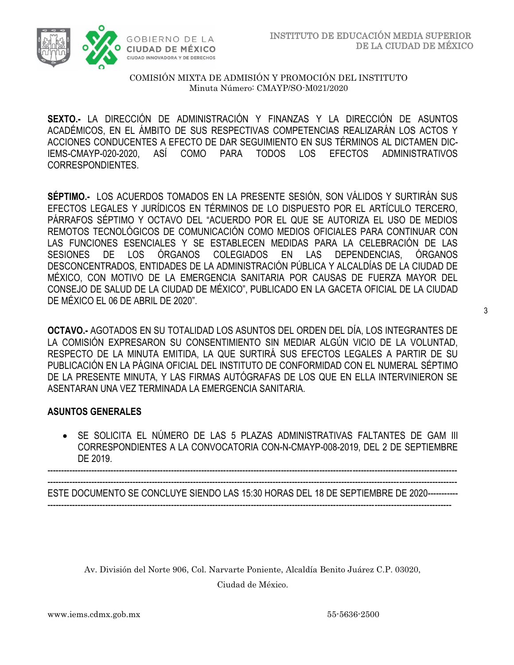

**SEXTO.-** LA DIRECCIÓN DE ADMINISTRACIÓN Y FINANZAS Y LA DIRECCIÓN DE ASUNTOS ACADÉMICOS, EN EL ÁMBITO DE SUS RESPECTIVAS COMPETENCIAS REALIZARÁN LOS ACTOS Y ACCIONES CONDUCENTES A EFECTO DE DAR SEGUIMIENTO EN SUS TÉRMINOS AL DICTAMEN DIC-IEMS-CMAYP-020-2020, ASÍ COMO PARA TODOS LOS EFECTOS ADMINISTRATIVOS CORRESPONDIENTES.

**SÉPTIMO.-** LOS ACUERDOS TOMADOS EN LA PRESENTE SESIÓN, SON VÁLIDOS Y SURTIRÁN SUS EFECTOS LEGALES Y JURÍDICOS EN TÉRMINOS DE LO DISPUESTO POR EL ARTÍCULO TERCERO, PÁRRAFOS SÉPTIMO Y OCTAVO DEL "ACUERDO POR EL QUE SE AUTORIZA EL USO DE MEDIOS REMOTOS TECNOLÓGICOS DE COMUNICACIÓN COMO MEDIOS OFICIALES PARA CONTINUAR CON LAS FUNCIONES ESENCIALES Y SE ESTABLECEN MEDIDAS PARA LA CELEBRACIÓN DE LAS SESIONES DE LOS ÓRGANOS COLEGIADOS EN LAS DEPENDENCIAS, ÓRGANOS DESCONCENTRADOS, ENTIDADES DE LA ADMINISTRACIÓN PÚBLICA Y ALCALDÍAS DE LA CIUDAD DE MÉXICO, CON MOTIVO DE LA EMERGENCIA SANITARIA POR CAUSAS DE FUERZA MAYOR DEL CONSEJO DE SALUD DE LA CIUDAD DE MÉXICO", PUBLICADO EN LA GACETA OFICIAL DE LA CIUDAD DE MÉXICO EL 06 DE ABRIL DE 2020".

**OCTAVO.-** AGOTADOS EN SU TOTALIDAD LOS ASUNTOS DEL ORDEN DEL DÍA, LOS INTEGRANTES DE LA COMISIÓN EXPRESARON SU CONSENTIMIENTO SIN MEDIAR ALGÚN VICIO DE LA VOLUNTAD, RESPECTO DE LA MINUTA EMITIDA, LA QUE SURTIRÁ SUS EFECTOS LEGALES A PARTIR DE SU PUBLICACIÓN EN LA PÁGINA OFICIAL DEL INSTITUTO DE CONFORMIDAD CON EL NUMERAL SÉPTIMO DE LA PRESENTE MINUTA, Y LAS FIRMAS AUTÓGRAFAS DE LOS QUE EN ELLA INTERVINIERON SE ASENTARAN UNA VEZ TERMINADA LA EMERGENCIA SANITARIA.

### **ASUNTOS GENERALES**

• SE SOLICITA EL NÚMERO DE LAS 5 PLAZAS ADMINISTRATIVAS FALTANTES DE GAM III CORRESPONDIENTES A LA CONVOCATORIA CON-N-CMAYP-008-2019, DEL 2 DE SEPTIEMBRE DE 2019.

----------------------------------------------------------------------------------------------------------------------------------------------------- -----------------------------------------------------------------------------------------------------------------------------------------------------

ESTE DOCUMENTO SE CONCLUYE SIENDO LAS 15:30 HORAS DEL 18 DE SEPTIEMBRE DE 2020----------- ---------------------------------------------------------------------------------------------------------------------------------------------------

Av. División del Norte 906, Col. Narvarte Poniente, Alcaldía Benito Juárez C.P. 03020, Ciudad de México.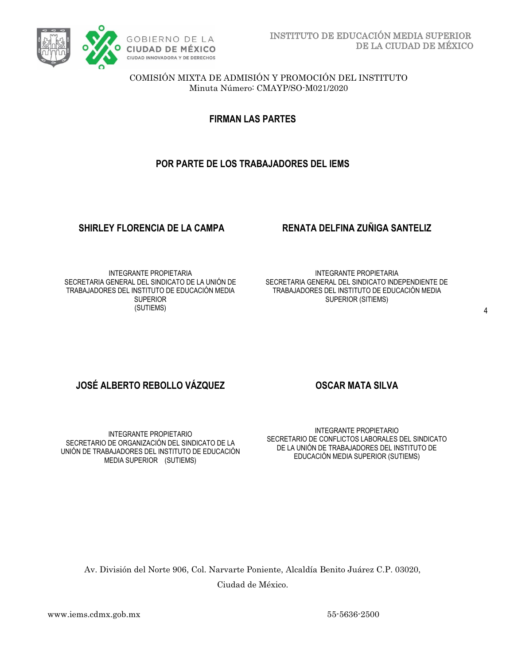

**FIRMAN LAS PARTES**

## **POR PARTE DE LOS TRABAJADORES DEL IEMS**

#### **SHIRLEY FLORENCIA DE LA CAMPA RENATA DELFINA ZUÑIGA SANTELIZ**

INTEGRANTE PROPIETARIA SECRETARIA GENERAL DEL SINDICATO DE LA UNIÓN DE TRABAJADORES DEL INSTITUTO DE EDUCACIÓN MEDIA **SUPERIOR** (SUTIEMS)

INTEGRANTE PROPIETARIA SECRETARIA GENERAL DEL SINDICATO INDEPENDIENTE DE TRABAJADORES DEL INSTITUTO DE EDUCACIÓN MEDIA SUPERIOR (SITIEMS)

## **JOSÉ ALBERTO REBOLLO VÁZQUEZ CONSEGAR MATA SILVA**

INTEGRANTE PROPIETARIO SECRETARIO DE ORGANIZACIÓN DEL SINDICATO DE LA UNIÓN DE TRABAJADORES DEL INSTITUTO DE EDUCACIÓN MEDIA SUPERIOR (SUTIEMS)

INTEGRANTE PROPIETARIO SECRETARIO DE CONFLICTOS LABORALES DEL SINDICATO DE LA UNIÓN DE TRABAJADORES DEL INSTITUTO DE EDUCACIÓN MEDIA SUPERIOR (SUTIEMS)

Av. División del Norte 906, Col. Narvarte Poniente, Alcaldía Benito Juárez C.P. 03020, Ciudad de México.